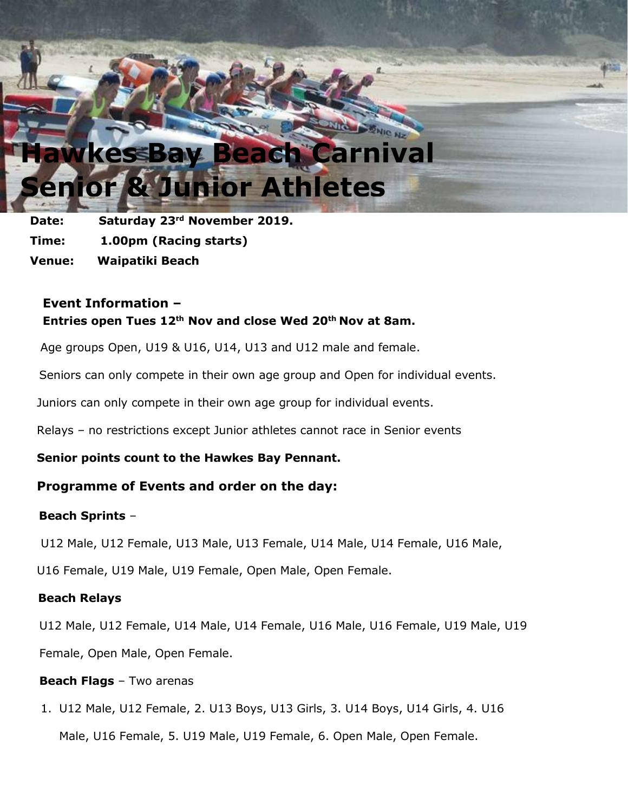# **Hawkes Bay Beach Carnival Athletes**

**Date: Saturday 23rd November 2019. Time: 1.00pm (Racing starts) Venue: Waipatiki Beach**

## **Event Information – Entries open Tues 12th Nov and close Wed 20th Nov at 8am.**

Age groups Open, U19 & U16, U14, U13 and U12 male and female.

Seniors can only compete in their own age group and Open for individual events.

Juniors can only compete in their own age group for individual events.

Relays – no restrictions except Junior athletes cannot race in Senior events

**Senior points count to the Hawkes Bay Pennant.**

## **Programme of Events and order on the day:**

### **Beach Sprints** –

U12 Male, U12 Female, U13 Male, U13 Female, U14 Male, U14 Female, U16 Male,

U16 Female, U19 Male, U19 Female, Open Male, Open Female.

### **Beach Relays**

U12 Male, U12 Female, U14 Male, U14 Female, U16 Male, U16 Female, U19 Male, U19

Female, Open Male, Open Female.

#### **Beach Flags** – Two arenas

1. U12 Male, U12 Female, 2. U13 Boys, U13 Girls, 3. U14 Boys, U14 Girls, 4. U16

Male, U16 Female, 5. U19 Male, U19 Female, 6. Open Male, Open Female.